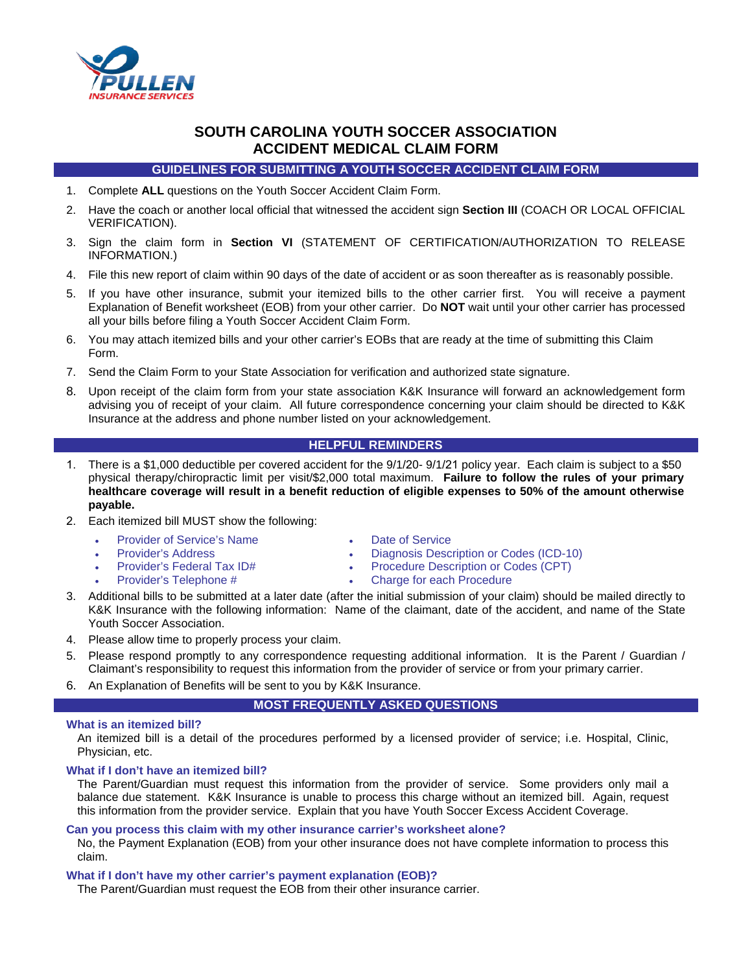

# **SOUTH CAROLINA YOUTH SOCCER ASSOCIATION ACCIDENT MEDICAL CLAIM FORM**

**GUIDELINES FOR SUBMITTING A YOUTH SOCCER ACCIDENT CLAIM FORM**

- 1. Complete **ALL** questions on the Youth Soccer Accident Claim Form.
- 2. Have the coach or another local official that witnessed the accident sign **Section III** (COACH OR LOCAL OFFICIAL VERIFICATION).
- 3. Sign the claim form in **Section VI** (STATEMENT OF CERTIFICATION/AUTHORIZATION TO RELEASE INFORMATION.)
- 4. File this new report of claim within 90 days of the date of accident or as soon thereafter as is reasonably possible.
- 5. If you have other insurance, submit your itemized bills to the other carrier first. You will receive a payment Explanation of Benefit worksheet (EOB) from your other carrier. Do **NOT** wait until your other carrier has processed all your bills before filing a Youth Soccer Accident Claim Form.
- 6. You may attach itemized bills and your other carrier's EOBs that are ready at the time of submitting this Claim Form.
- 7. Send the Claim Form to your State Association for verification and authorized state signature.
- 8. Upon receipt of the claim form from your state association K&K Insurance will forward an acknowledgement form advising you of receipt of your claim. All future correspondence concerning your claim should be directed to K&K Insurance at the address and phone number listed on your acknowledgement.

# **HELPFUL REMINDERS**

- 1. There is a \$1,000 deductible per covered accident for the 9/1/20- 9/1/21 policy year. Each claim is subject to a \$50 physical therapy/chiropractic limit per visit/\$2,000 total maximum. **Failure to follow the rules of your primary healthcare coverage will result in a benefit reduction of eligible expenses to 50% of the amount otherwise payable.**
- 2. Each itemized bill MUST show the following:
	- Provider of Service's Name Date of Service
	-
- 
- Provider's Address Diagnosis Description or Codes (ICD-10)
- Provider's Federal Tax ID# Procedure Description or Codes (CPT)
- 
- 
- Charge for each Procedure
- 3. Additional bills to be submitted at a later date (after the initial submission of your claim) should be mailed directly to K&K Insurance with the following information: Name of the claimant, date of the accident, and name of the State Youth Soccer Association.
- 4. Please allow time to properly process your claim.
- 5. Please respond promptly to any correspondence requesting additional information. It is the Parent / Guardian / Claimant's responsibility to request this information from the provider of service or from your primary carrier.
- 6. An Explanation of Benefits will be sent to you by K&K Insurance.

# **MOST FREQUENTLY ASKED QUESTIONS**

## **What is an itemized bill?**

An itemized bill is a detail of the procedures performed by a licensed provider of service; i.e. Hospital, Clinic, Physician, etc.

# **What if I don't have an itemized bill?**

The Parent/Guardian must request this information from the provider of service. Some providers only mail a balance due statement. K&K Insurance is unable to process this charge without an itemized bill. Again, request this information from the provider service. Explain that you have Youth Soccer Excess Accident Coverage.

## **Can you process this claim with my other insurance carrier's worksheet alone?**

No, the Payment Explanation (EOB) from your other insurance does not have complete information to process this claim.

## **What if I don't have my other carrier's payment explanation (EOB)?**

The Parent/Guardian must request the EOB from their other insurance carrier.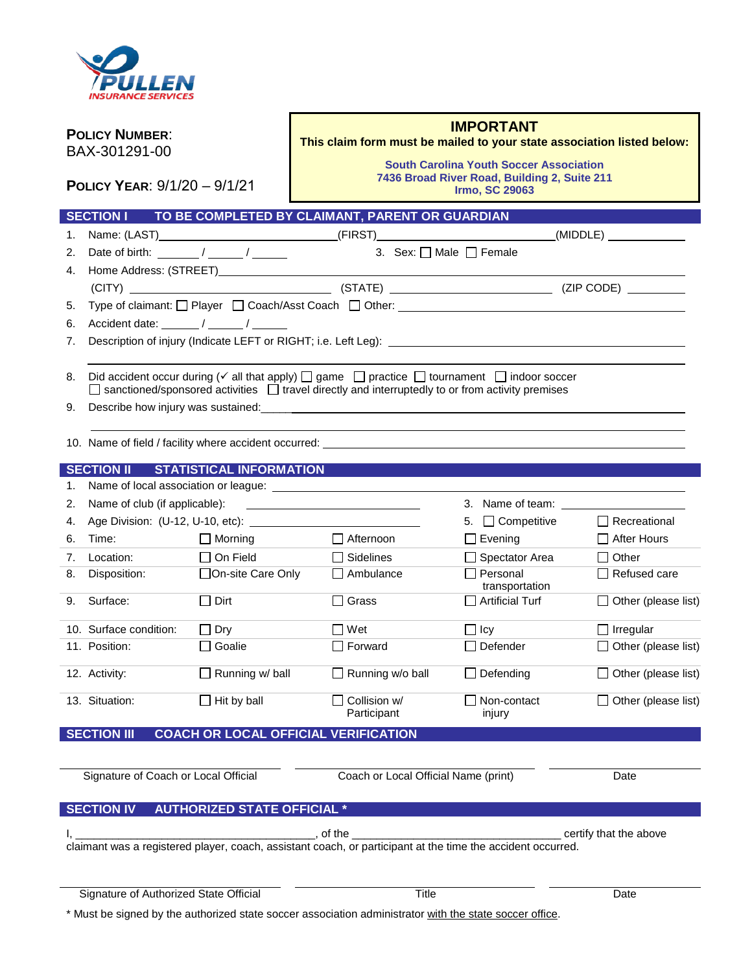

| <b>POLICY NUMBER:</b><br>BAX-301291-00<br>POLICY YEAR: 9/1/20 - 9/1/21 |                                                                                                                                                                                                                                             | <b>IMPORTANT</b><br>This claim form must be mailed to your state association listed below:<br><b>South Carolina Youth Soccer Association</b><br>7436 Broad River Road, Building 2, Suite 211<br><b>Irmo, SC 29063</b> |                                                                                                                       |                                          |                            |  |
|------------------------------------------------------------------------|---------------------------------------------------------------------------------------------------------------------------------------------------------------------------------------------------------------------------------------------|-----------------------------------------------------------------------------------------------------------------------------------------------------------------------------------------------------------------------|-----------------------------------------------------------------------------------------------------------------------|------------------------------------------|----------------------------|--|
|                                                                        | <b>SECTION I</b>                                                                                                                                                                                                                            |                                                                                                                                                                                                                       | TO BE COMPLETED BY CLAIMANT, PARENT OR GUARDIAN                                                                       |                                          |                            |  |
| 1.                                                                     |                                                                                                                                                                                                                                             |                                                                                                                                                                                                                       | Name: (LAST)___________________________________(FIRST)__________________________(MIDDLE) ________________             |                                          |                            |  |
| 2.                                                                     |                                                                                                                                                                                                                                             | Date of birth: $\sqrt{2}$                                                                                                                                                                                             |                                                                                                                       | 3. Sex: $\Box$ Male $\Box$ Female        |                            |  |
| 4.                                                                     |                                                                                                                                                                                                                                             |                                                                                                                                                                                                                       |                                                                                                                       |                                          |                            |  |
|                                                                        |                                                                                                                                                                                                                                             |                                                                                                                                                                                                                       |                                                                                                                       |                                          |                            |  |
| 5.                                                                     |                                                                                                                                                                                                                                             |                                                                                                                                                                                                                       |                                                                                                                       |                                          |                            |  |
| 6.                                                                     | Accident date: ______/ _____/                                                                                                                                                                                                               |                                                                                                                                                                                                                       |                                                                                                                       |                                          |                            |  |
| 7.                                                                     |                                                                                                                                                                                                                                             |                                                                                                                                                                                                                       | Description of injury (Indicate LEFT or RIGHT; i.e. Left Leg): <b>Example 2018</b>                                    |                                          |                            |  |
| 8.<br>9.                                                               | Did accident occur during $(\checkmark)$ all that apply) $\Box$ game $\Box$ practice $\Box$ fournament $\Box$ indoor soccer<br>$\Box$ sanctioned/sponsored activities $\Box$ travel directly and interruptedly to or from activity premises |                                                                                                                                                                                                                       |                                                                                                                       |                                          |                            |  |
|                                                                        |                                                                                                                                                                                                                                             |                                                                                                                                                                                                                       |                                                                                                                       |                                          |                            |  |
|                                                                        |                                                                                                                                                                                                                                             | SECTION II STATISTICAL INFORMATION                                                                                                                                                                                    |                                                                                                                       |                                          |                            |  |
| 1.                                                                     |                                                                                                                                                                                                                                             |                                                                                                                                                                                                                       |                                                                                                                       |                                          |                            |  |
| 2.                                                                     |                                                                                                                                                                                                                                             |                                                                                                                                                                                                                       | Name of club (if applicable):<br><u> and</u> the same of club (if applicable):                                        | 3. Name of team:                         |                            |  |
| 4.                                                                     |                                                                                                                                                                                                                                             |                                                                                                                                                                                                                       |                                                                                                                       | 5. □ Competitive                         | $\Box$ Recreational        |  |
| 6.                                                                     | Time:                                                                                                                                                                                                                                       | $\Box$ Morning                                                                                                                                                                                                        | $\Box$ Afternoon                                                                                                      | $\Box$ Evening                           | $\Box$ After Hours         |  |
| 7.                                                                     | Location:                                                                                                                                                                                                                                   | $\Box$ On Field                                                                                                                                                                                                       | $\Box$ Sidelines                                                                                                      | Spectator Area                           | $\Box$ Other               |  |
| 8.                                                                     | Disposition:                                                                                                                                                                                                                                | □On-site Care Only                                                                                                                                                                                                    | $\Box$ Ambulance                                                                                                      | $\Box$ Personal                          | $\Box$ Refused care        |  |
| 9.                                                                     | Surface:                                                                                                                                                                                                                                    | $\Box$ Dirt                                                                                                                                                                                                           | □ Grass                                                                                                               | transportation<br>$\Box$ Artificial Turf | Other (please list)        |  |
|                                                                        | 10. Surface condition:                                                                                                                                                                                                                      | $\Box$ Dry                                                                                                                                                                                                            | $\Box$ Wet                                                                                                            | $\Box$ Icy                               | $\Box$ Irregular           |  |
|                                                                        | 11. Position:                                                                                                                                                                                                                               | $\Box$ Goalie                                                                                                                                                                                                         | $\Box$ Forward                                                                                                        | $\Box$ Defender                          | $\Box$ Other (please list) |  |
|                                                                        | 12. Activity:                                                                                                                                                                                                                               | $\Box$ Running w/ ball                                                                                                                                                                                                | Running w/o ball                                                                                                      | Defending                                | $\Box$ Other (please list) |  |
|                                                                        | 13. Situation:                                                                                                                                                                                                                              | $\Box$ Hit by ball                                                                                                                                                                                                    | Collision w/<br>Participant                                                                                           | Non-contact<br>injury                    | Other (please list)        |  |
|                                                                        | <b>SECTION III</b>                                                                                                                                                                                                                          |                                                                                                                                                                                                                       | <b>COACH OR LOCAL OFFICIAL VERIFICATION</b>                                                                           |                                          |                            |  |
|                                                                        |                                                                                                                                                                                                                                             |                                                                                                                                                                                                                       |                                                                                                                       |                                          |                            |  |
|                                                                        | Signature of Coach or Local Official                                                                                                                                                                                                        |                                                                                                                                                                                                                       | Coach or Local Official Name (print)                                                                                  |                                          | Date                       |  |
|                                                                        | <b>SECTION IV</b>                                                                                                                                                                                                                           | <b>AUTHORIZED STATE OFFICIAL *</b>                                                                                                                                                                                    |                                                                                                                       |                                          |                            |  |
|                                                                        |                                                                                                                                                                                                                                             |                                                                                                                                                                                                                       |                                                                                                                       |                                          |                            |  |
|                                                                        |                                                                                                                                                                                                                                             |                                                                                                                                                                                                                       | of the<br>claimant was a registered player, coach, assistant coach, or participant at the time the accident occurred. |                                          | certify that the above     |  |
|                                                                        | Signature of Authorized State Official                                                                                                                                                                                                      |                                                                                                                                                                                                                       | Title                                                                                                                 |                                          | Date                       |  |

\* Must be signed by the authorized state soccer association administrator with the state soccer office.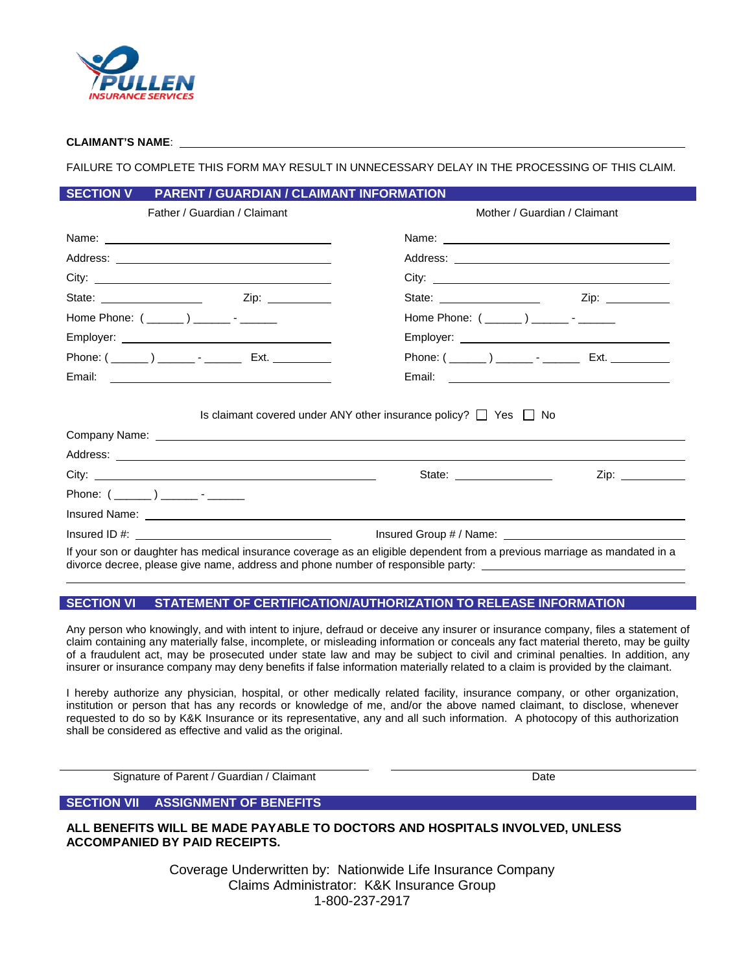

## **CLAIMANT'S NAME**:

FAILURE TO COMPLETE THIS FORM MAY RESULT IN UNNECESSARY DELAY IN THE PROCESSING OF THIS CLAIM.

## **SECTION V PARENT / GUARDIAN / CLAIMANT INFORMATION**

| Father / Guardian / Claimant                                                                                                                                                                                                         | Mother / Guardian / Claimant                                                                                              |  |  |
|--------------------------------------------------------------------------------------------------------------------------------------------------------------------------------------------------------------------------------------|---------------------------------------------------------------------------------------------------------------------------|--|--|
|                                                                                                                                                                                                                                      |                                                                                                                           |  |  |
|                                                                                                                                                                                                                                      |                                                                                                                           |  |  |
|                                                                                                                                                                                                                                      |                                                                                                                           |  |  |
|                                                                                                                                                                                                                                      | State: __________________                                                                                                 |  |  |
| Home Phone: $(\_\_ \_\_ )\_\_ \_\_ \cdot \_\_$                                                                                                                                                                                       | Home Phone: $(\_\_ \_\_ )\_\_ \_\_ \cdot \_\_$                                                                            |  |  |
|                                                                                                                                                                                                                                      |                                                                                                                           |  |  |
|                                                                                                                                                                                                                                      | Phone: ( ______ ) ________ - ___________ Ext. ____________                                                                |  |  |
|                                                                                                                                                                                                                                      |                                                                                                                           |  |  |
|                                                                                                                                                                                                                                      | Is claimant covered under ANY other insurance policy? $\Box$ Yes $\Box$ No                                                |  |  |
| Address: <u>example and a series of the series of the series of the series of the series of the series of the series of the series of the series of the series of the series of the series of the series of the series of the se</u> |                                                                                                                           |  |  |
|                                                                                                                                                                                                                                      | State: $\frac{1}{\sqrt{1-\frac{1}{2}}\sqrt{1-\frac{1}{2}}\sqrt{1-\frac{1}{2}}\sqrt{1-\frac{1}{2}}}}$<br>Zip: ___________  |  |  |
|                                                                                                                                                                                                                                      |                                                                                                                           |  |  |
|                                                                                                                                                                                                                                      |                                                                                                                           |  |  |
|                                                                                                                                                                                                                                      |                                                                                                                           |  |  |
|                                                                                                                                                                                                                                      | If your son or daughter has medical insurance coverage as an eligible dependent from a previous marriage as mandated in a |  |  |

If your son or daughter has medical insurance coverage as an eligible dependent from a previous marriage as mandated in a divorce decree, please give name, address and phone number of responsible party:

# **SECTION VI STATEMENT OF CERTIFICATION/AUTHORIZATION TO RELEASE INFORMATION**

Any person who knowingly, and with intent to injure, defraud or deceive any insurer or insurance company, files a statement of claim containing any materially false, incomplete, or misleading information or conceals any fact material thereto, may be guilty of a fraudulent act, may be prosecuted under state law and may be subject to civil and criminal penalties. In addition, any insurer or insurance company may deny benefits if false information materially related to a claim is provided by the claimant.

I hereby authorize any physician, hospital, or other medically related facility, insurance company, or other organization, institution or person that has any records or knowledge of me, and/or the above named claimant, to disclose, whenever requested to do so by K&K Insurance or its representative, any and all such information. A photocopy of this authorization shall be considered as effective and valid as the original.

Signature of Parent / Guardian / Claimant Date Date Date

# **SECTION VII ASSIGNMENT OF BENEFITS**

**ALL BENEFITS WILL BE MADE PAYABLE TO DOCTORS AND HOSPITALS INVOLVED, UNLESS ACCOMPANIED BY PAID RECEIPTS.**

> Coverage Underwritten by: Nationwide Life Insurance Company Claims Administrator: K&K Insurance Group 1-800-237-2917